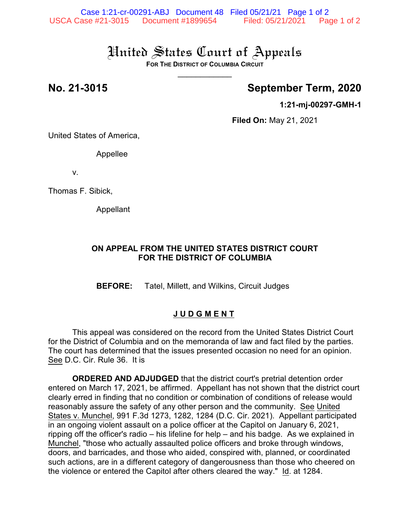# United States Court of Appeals

**FOR THE DISTRICT OF COLUMBIA CIRCUIT**  $\overline{\phantom{a}}$ 

# **No. 21-3015 September Term, 2020**

**1:21-mj-00297-GMH-1**

**Filed On:** May 21, 2021

United States of America,

Appellee

v.

Thomas F. Sibick,

Appellant

### **ON APPEAL FROM THE UNITED STATES DISTRICT COURT FOR THE DISTRICT OF COLUMBIA**

**BEFORE:** Tatel, Millett, and Wilkins, Circuit Judges

### **J U D G M E N T**

This appeal was considered on the record from the United States District Court for the District of Columbia and on the memoranda of law and fact filed by the parties. The court has determined that the issues presented occasion no need for an opinion. See D.C. Cir. Rule 36. It is

**ORDERED AND ADJUDGED** that the district court's pretrial detention order entered on March 17, 2021, be affirmed. Appellant has not shown that the district court clearly erred in finding that no condition or combination of conditions of release would reasonably assure the safety of any other person and the community. See United States v. Munchel, 991 F.3d 1273, 1282, 1284 (D.C. Cir. 2021). Appellant participated in an ongoing violent assault on a police officer at the Capitol on January 6, 2021, ripping off the officer's radio – his lifeline for help – and his badge. As we explained in Munchel, "those who actually assaulted police officers and broke through windows, doors, and barricades, and those who aided, conspired with, planned, or coordinated such actions, are in a different category of dangerousness than those who cheered on the violence or entered the Capitol after others cleared the way." Id. at 1284.